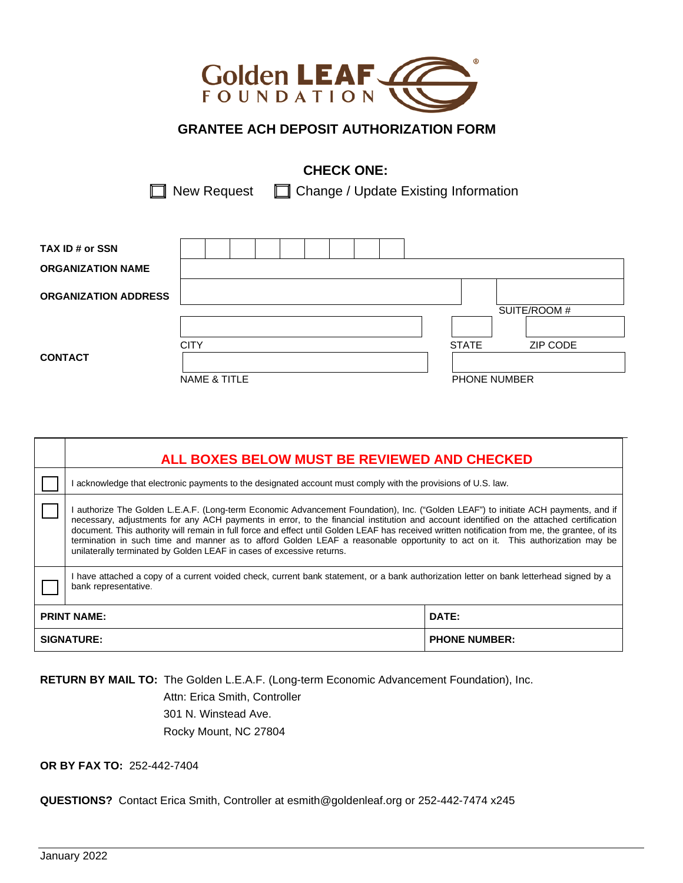

# **GRANTEE ACH DEPOSIT AUTHORIZATION FORM**

# **CHECK ONE:**

 $\Box$  New Request  $\Box$  Change / Update Existing Information

| TAX ID # or SSN             |              |  |  |  |  |  |                     |              |  |
|-----------------------------|--------------|--|--|--|--|--|---------------------|--------------|--|
| <b>ORGANIZATION NAME</b>    |              |  |  |  |  |  |                     |              |  |
| <b>ORGANIZATION ADDRESS</b> |              |  |  |  |  |  |                     |              |  |
|                             |              |  |  |  |  |  |                     | SUITE/ROOM # |  |
|                             |              |  |  |  |  |  |                     |              |  |
|                             | <b>CITY</b>  |  |  |  |  |  | <b>STATE</b>        | ZIP CODE     |  |
| <b>CONTACT</b>              |              |  |  |  |  |  |                     |              |  |
|                             | NAME & TITLE |  |  |  |  |  | <b>PHONE NUMBER</b> |              |  |

| ALL BOXES BELOW MUST BE REVIEWED AND CHECKED                                                                                                                                                                                                                                                                                                                                                                                                                                                                                                                                                                                            |  |  |  |  |  |  |  |  |  |
|-----------------------------------------------------------------------------------------------------------------------------------------------------------------------------------------------------------------------------------------------------------------------------------------------------------------------------------------------------------------------------------------------------------------------------------------------------------------------------------------------------------------------------------------------------------------------------------------------------------------------------------------|--|--|--|--|--|--|--|--|--|
| acknowledge that electronic payments to the designated account must comply with the provisions of U.S. law.                                                                                                                                                                                                                                                                                                                                                                                                                                                                                                                             |  |  |  |  |  |  |  |  |  |
| authorize The Golden L.E.A.F. (Long-term Economic Advancement Foundation), Inc. ("Golden LEAF") to initiate ACH payments, and if<br>necessary, adjustments for any ACH payments in error, to the financial institution and account identified on the attached certification<br>document. This authority will remain in full force and effect until Golden LEAF has received written notification from me, the grantee, of its<br>termination in such time and manner as to afford Golden LEAF a reasonable opportunity to act on it. This authorization may be<br>unilaterally terminated by Golden LEAF in cases of excessive returns. |  |  |  |  |  |  |  |  |  |
| I have attached a copy of a current voided check, current bank statement, or a bank authorization letter on bank letterhead signed by a<br>bank representative.                                                                                                                                                                                                                                                                                                                                                                                                                                                                         |  |  |  |  |  |  |  |  |  |
| DATE:<br><b>PRINT NAME:</b>                                                                                                                                                                                                                                                                                                                                                                                                                                                                                                                                                                                                             |  |  |  |  |  |  |  |  |  |
| <b>SIGNATURE:</b><br><b>PHONE NUMBER:</b>                                                                                                                                                                                                                                                                                                                                                                                                                                                                                                                                                                                               |  |  |  |  |  |  |  |  |  |

**RETURN BY MAIL TO:** The Golden L.E.A.F. (Long-term Economic Advancement Foundation), Inc.

 Attn: Erica Smith, Controller 301 N. Winstead Ave. Rocky Mount, NC 27804

**OR BY FAX TO:** 252-442-7404

**QUESTIONS?** Contact Erica Smith, Controller at [esmith@goldenleaf.org](mailto:bedmondson@goldenleaf.org) or 252-442-7474 x245